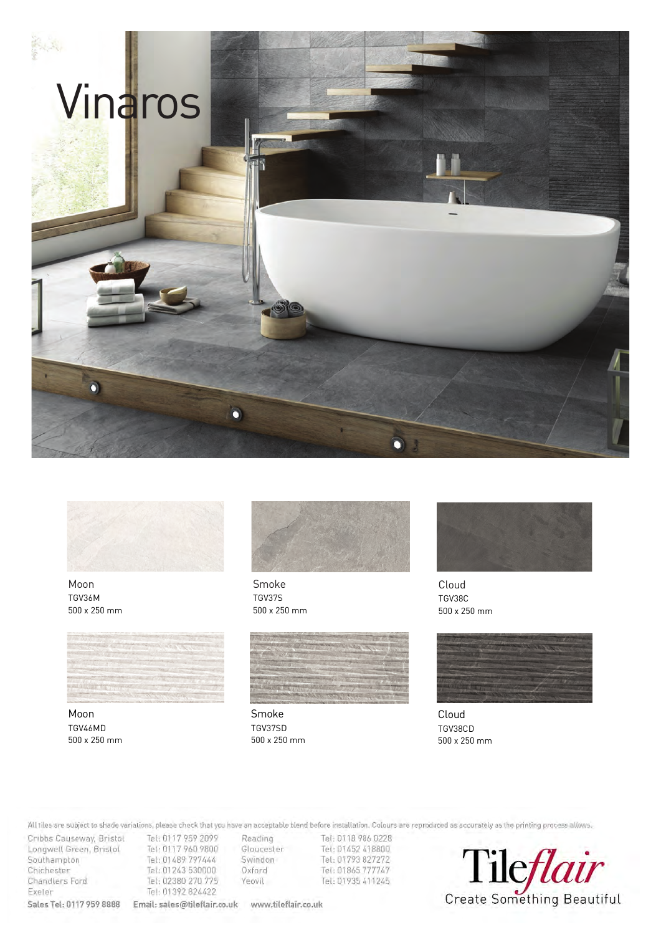



Moon TGV36M 500 x 250 mm



Moon TGV46MD 500 x 250 mm



Smoke TGV37S 500 x 250 mm



Smoke TGV37SD 500 x 250 mm



Cloud TGV38C 500 x 250 mm



Cloud TGV38CD 500 x 250 mm

Colonia are reproduced as accurately as the product parameter extensive allows. Then there is out Please Note: All tiles are subject to shade variations, please check that you have an acceptable blend before installation.

Cribbs Causeway, Bristol Tel: 0117 959 2099<br>Longwell Green, Bristol Tel: 0117 960 9800 Longwell Green, Bristol Tel: 0117 960 9800 Chichester Tel: 01243 530000 Chandlers Ford Tel: 02380 270 775 Exeler Tel: 01392 824422 **Sales Tel: 0117 959 8888 Email: sales@tileflair.co.uk www.tileflair.co.uk** 

Reading Tel: 0118 786 0228<br>Gloucester Tel: 01452 418800 Swindon Tel: 01793 827272 Oxford Tel: 01865 777747 Yeovil Tel: 01935 411245

Create Something Beautiful